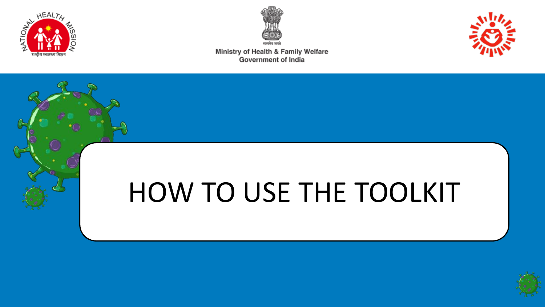



Ministry of Health & Family Welfare **Government of India** 



# HOW TO USE THE TOOLKIT

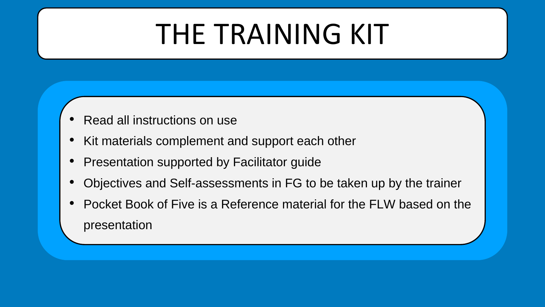# THE TRAINING KIT

- Read all instructions on use
- Kit materials complement and support each other
- Presentation supported by Facilitator guide
- Objectives and Self-assessments in FG to be taken up by the trainer
- Pocket Book of Five is a Reference material for the FLW based on the presentation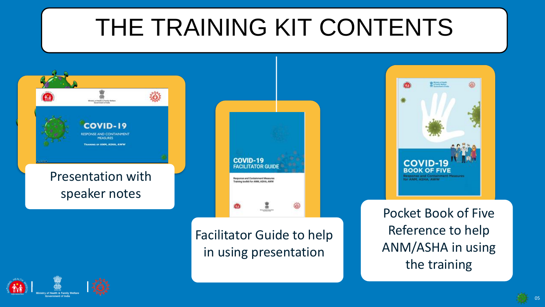## THE TRAINING KIT CONTENTS



Pocket Book of Five Reference to help ANM/ASHA in using the training

**After History** 

**COVID-**

for ANM, ASHA, AWW

**BOOK OF FIVE** 

 $\delta$ 

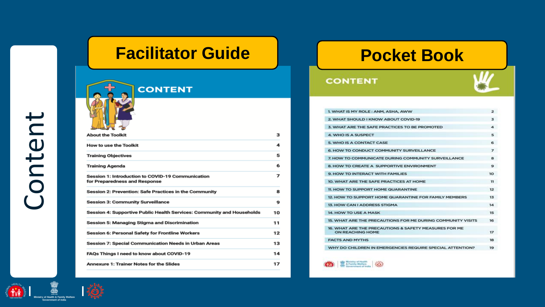### **Facilitator Guide | Pocket Book**



| <b>About the Toolkit</b>                                                           | з  |
|------------------------------------------------------------------------------------|----|
| <b>How to use the Toolkit</b>                                                      | 4  |
| <b>Training Objectives</b>                                                         | 5  |
| <b>Training Agenda</b>                                                             | 6  |
| Session 1: Introduction to COVID-19 Communication<br>for Preparedness and Response | 7  |
| Session 2: Prevention: Safe Practices in the Community                             | 8  |
| <b>Session 3: Community Surveillance</b>                                           | 9  |
| Session 4: Supportive Public Health Services: Community and Households             | 10 |
| Session 5: Managing Stigma and Discrimination                                      | 11 |
| <b>Session 6: Personal Safety for Frontline Workers</b>                            | 12 |
| <b>Session 7: Special Communication Needs in Urban Areas</b>                       | 13 |
| FAQs Things I need to know about COVID-19                                          | 14 |
| <b>Annexure 1: Trainer Notes for the Slides</b>                                    | 17 |
|                                                                                    |    |

### **CONTENT**

A Family Wellam (



| 1. WHAT IS MY ROLE: ANM, ASHA, AWW                                        | 2                        |
|---------------------------------------------------------------------------|--------------------------|
| 2. WHAT SHOULD I KNOW ABOUT COVID-19                                      | з                        |
| 3. WHAT ARE THE SAFE PRACTICES TO BE PROMOTED                             | 4                        |
| 4. WHO IS A SUSPECT                                                       | Б                        |
| 5. WHO IS A CONTACT CASE                                                  | 6                        |
| 6. HOW TO CONDUCT COMMUNITY SURVEILLANCE                                  | $\overline{\phantom{a}}$ |
| 7. HOW TO COMMUNICATE DURING COMMUNITY SURVEILLANCE                       | 8                        |
| 8. HOW TO CREATE A SUPPORTIVE ENVIRONMENT                                 | 9                        |
| 9. HOW TO INTERACT WITH FAMILIES                                          | 10                       |
| <b>10. WHAT ARE THE SAFE PRACTICES AT HOME</b>                            | 11                       |
| 11. HOW TO SUPPORT HOME QUARANTINE                                        | 12                       |
| 12. HOW TO SUPPORT HOME QUARANTINE FOR FAMILY MEMBERS                     | 13                       |
| <b>13. HOW CAN I ADDRESS STIGMA</b>                                       | 14                       |
| 14, HOW TO USE A MASK                                                     | 15                       |
| 15. WHAT ARE THE PRECAUTIONS FOR ME DURING COMMUNITY VISITS               | 16                       |
| 16. WHAT ARE THE PRECAUTIONS & SAFETY MEASURES FOR ME<br>ON REACHING HOME | 17                       |
| <b>FACTS AND MYTHS</b>                                                    | 18                       |
| WHY DO CHILDREN IN EMERGENCIES REQUIRE SPECIAL ATTENTION?                 | 19                       |
|                                                                           |                          |



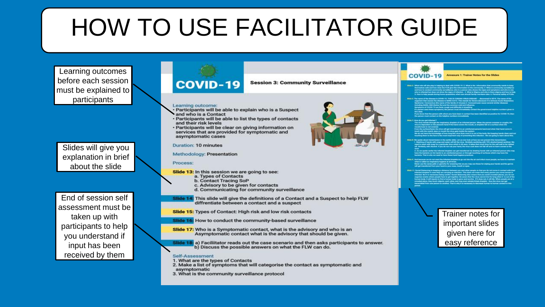## HOW TO USE FACILITATOR GUIDE

Learning outcomes before each session must be explained to participants

Slides will give you explanation in brief about the slide

End of session self assessment must be taken up with participants to help you understand if input has been received by them



**Session 3: Community Surveillance** 

### Learning outcome:

- · Participants will be able to explain who is a Suspect and who is a Contact
- · Participants will be able to list the types of contacts and their risk levels
- · Participants will be clear on giving information on services that are provided for symptomatic and asymptomatic cases

**Duration: 10 minutes** 

Methodology: Presentation

### Process:

- Slide 13: In this session we are going to see:
	- a. Types of Contacts
	- **b. Contact Tracing SoP**
	- c. Advisory to be given for contacts d. Communicating for community surveillance

Slide 14: This slide will give the definitions of a Contact and a Suspect to help FLW diffrentiate between a contact and a suspect

Slide 15: Types of Contact: High risk and low risk contacts

Slide 16: How to conduct the community-based surveillance

- Slide 17: Who is a Symptomatic contact, what is the advisory and who is an Asymptomatic contact what is the advisory that should be given.
- Slide 18: a) Faciliitator reads out the case scenario and then asks participants to answer. b) Discuss the possible answers on what the FLW can do.

### Self-Assessment

- 1. What are the types of Contacts
- 2. Make a list of symptoms that will categorise the contact as symptomatic and
- asymptomatic
- 3. What is the community surveillance protocol



### **COVID-19 Annexure 1: Trainer Notes for the Slides**

- 
- -

- 
- 
- 
- 
- 

Trainer notes for important slides given here for easy reference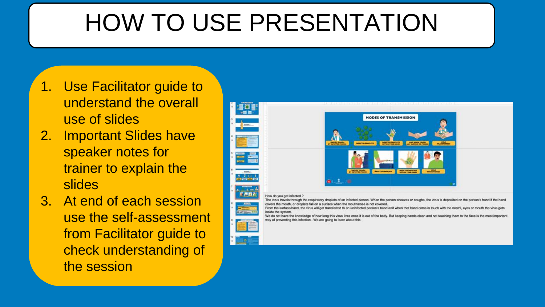### HOW TO USE PRESENTATION

- 1. Use Facilitator guide to understand the overall use of slides
- 2. Important Slides have speaker notes for trainer to explain the slides
- 3. At end of each session use the self-assessment from Facilitator guide to check understanding of the session

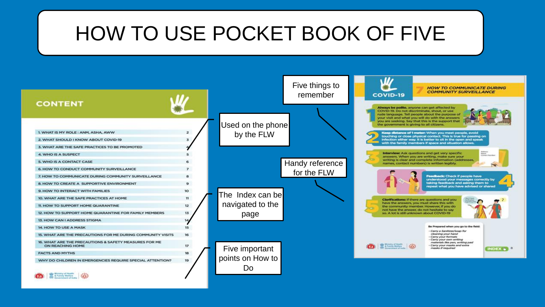### HOW TO USE POCKET BOOK OF FIVE